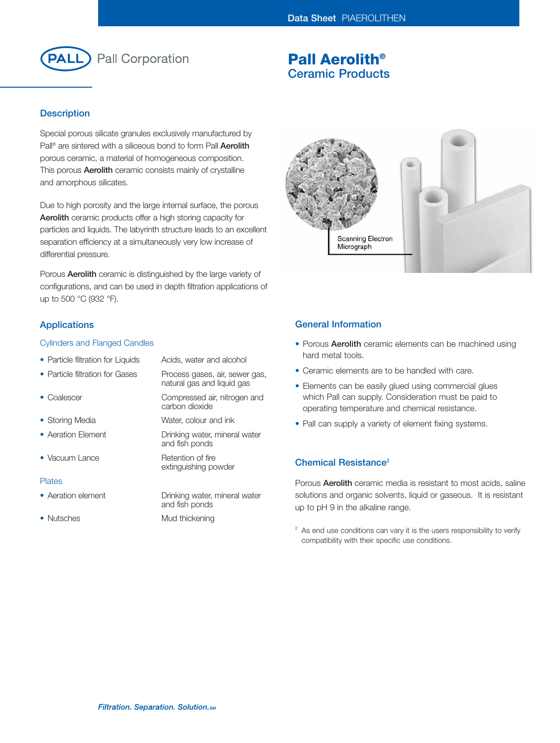

# **Pall Aerolith® Ceramic Products**

## **Description**

Special porous silicate granules exclusively manufactured by Pall® are sintered with a siliceous bond to form Pall **Aerolith** porous ceramic, a material of homogeneous composition. This porous **Aerolith** ceramic consists mainly of crystalline and amorphous silicates.

Due to high porosity and the large internal surface, the porous **Aerolith** ceramic products offer a high storing capacity for particles and liquids. The labyrinth structure leads to an excellent separation efficiency at a simultaneously very low increase of differential pressure.

Porous **Aerolith** ceramic is distinguished by the large variety of configurations, and can be used in depth filtration applications of up to 500 °C (932 °F).

## **Applications**

### Cylinders and Flanged Candles

| • Particle filtration for Liquids | Acids, water and alcohol                                     |
|-----------------------------------|--------------------------------------------------------------|
| • Particle filtration for Gases   | Process gases, air, sewer gas,<br>natural gas and liquid gas |
| $\bullet$ Coalescer               | Compressed air, nitrogen and<br>carbon dioxide               |
| • Storing Media                   | Water, colour and ink                                        |
| • Aeration Flement                | Drinking water, mineral water<br>and fish ponds              |
| • Vacuum Lance                    | Retention of fire<br>extinguishing powder                    |
| <b>Plates</b>                     |                                                              |
| • Aeration element                | Drinking water, mineral water<br>and fish ponds              |

• Nutsches Mud thickening



### **General Information**

- Porous **Aerolith** ceramic elements can be machined using hard metal tools.
- Ceramic elements are to be handled with care.
- Elements can be easily glued using commercial glues which Pall can supply. Consideration must be paid to operating temperature and chemical resistance.
- Pall can supply a variety of element fixing systems.

## **Chemical Resistance2**

Porous **Aerolith** ceramic media is resistant to most acids, saline solutions and organic solvents, liquid or gaseous. It is resistant up to pH 9 in the alkaline range.

 $2^2$  As end use conditions can vary it is the users responsibility to verify compatibility with their specific use conditions.